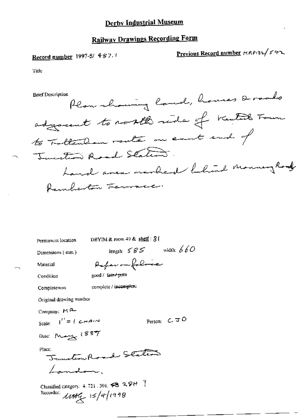## Derby Industrial Museum

# **Railway Drawings Recording Form**

Record number 1997-5/ 4-87.

Previous Record number MRP132/542

Title

**Brief Description** 

Plan whowing land, houses & rado adjournt to north ride of Kentil Form to Fattenham route on east end of Tuester Road Station. Land area marbed fland Mouning Road Remberton Ferrare.

Permanent location

DBYIM & room 49 & shelf: 31

Dimensions (mm)

length:  $585$  width:  $660$ 

Material

Paperomfolice good / fair / pow

Condition Completeness

complete / incomplete

Original drawing number

Company: MR-

Scale:  $I'' = I \subset H^{n+1}$ 

Person:  $C$  JO

Date: May 1887

Place:

Junction Road States Landon.

Classified category: 4, 721, 301, 23 2 9H ? Recorder:  $MH_{\textrm{H}}$  15/4/1998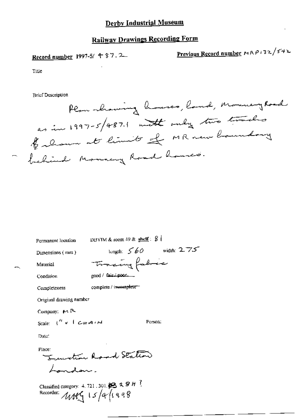### Derby Industrial Museum

# **Railway Drawings Recording Form**

Record number 1997-5/ 4 87.2

Previous Record number 
$$
MRP132/542
$$

Title

**Brief Description** 

Plan showing houses, land, Mouney Road as in 1997-5/487.1 with only two tracks forlow at limits of MR new boundary behind Monney Road houses.

length:  $560$  width:  $275$ 

Person:

Permanent location

DBYIM & room 49 & shelf:  $8$ 

Tracing fabric

 $good /$   $fair / poor$ .

Dimensions (mm)

Condition

Material

complete / invanighene Completeness

Original drawing number

Company: MR

Scale:  $1'' < 1$  CHAIN

Date:

Place:

Investion Road Station Landon.

Classified category: 4, 721, 301,  $\cancel{\otimes}$  2,  $\cancel{\otimes}$  H<sup>-1</sup>. Recorder:  $MN_1$  15/4/1998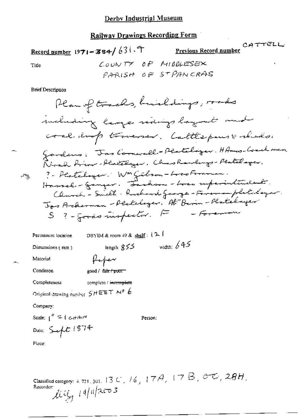### **Railway Drawings Recording Form**

Record number 1971-384/631.7

Previous Record number

CATTELL

Title

COUNTY OF MIDDLESEX PARISH OF STPANCRAS

**Brief Description** 

Plan of tracks, huildings, made miluding lings naings laymet make coal imp troverser. Cattlepuse réador Gardens: Jas Comwall-Peateloger. HAmos-Coachnan. a Noral Arion - Realthyer, Chas Rawlings - Pealthager. ? - Plateloyer: WM Gibson-Loco Foraman.<br>Hassel - Ganzer: Fachson-Loca superintendent.  $\sim 100$ Clearch - Smelt - Ruchard George - Frienes-platedayer. Jos Arthornon - Pecteloger, Al Birin-Platelager S ?- grass inspector. F - Foreman

DBYIM & room 49 & shelf :  $(2)$ Permanent location width:  $645$ length:  $355$ Dimensions (mm) forger Material Condition good / fair / poor Completeness complete / incomplete Original drawing number  $SHEET \sim 6$ Company: Scale:  $\int_0^R$  =  $\int$  c-HAUN Person; Date:  $5 - 1874$ 

Place:

Classified category: 4, 721, 301, 13 U, 16, 17A, 17B,  $\sigma\tau$ , 28H.  $llog_{1}$  14/11/2003 Recorder: